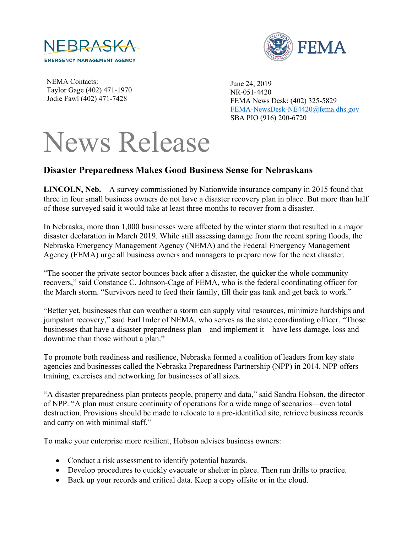



NEMA Contacts: Taylor Gage (402) 471-1970 Jodie Fawl (402) 471-7428

June 24, 2019 NR-051-4420 FEMA News Desk: (402) 325-5829 [FEMA-NewsDesk-NE4420@fema.dhs.gov](mailto:FEMA-NewsDesk-NE4420@fema.dhs.gov) SBA PIO (916) 200-6720

## News Release

## **Disaster Preparedness Makes Good Business Sense for Nebraskans**

**LINCOLN, Neb.** – A survey commissioned by Nationwide insurance company in 2015 found that three in four small business owners do not have a disaster recovery plan in place. But more than half of those surveyed said it would take at least three months to recover from a disaster.

In Nebraska, more than 1,000 businesses were affected by the winter storm that resulted in a major disaster declaration in March 2019. While still assessing damage from the recent spring floods, the Nebraska Emergency Management Agency (NEMA) and the Federal Emergency Management Agency (FEMA) urge all business owners and managers to prepare now for the next disaster.

"The sooner the private sector bounces back after a disaster, the quicker the whole community recovers," said Constance C. Johnson-Cage of FEMA, who is the federal coordinating officer for the March storm. "Survivors need to feed their family, fill their gas tank and get back to work."

"Better yet, businesses that can weather a storm can supply vital resources, minimize hardships and jumpstart recovery," said Earl Imler of NEMA, who serves as the state coordinating officer. "Those businesses that have a disaster preparedness plan—and implement it—have less damage, loss and downtime than those without a plan."

To promote both readiness and resilience, Nebraska formed a coalition of leaders from key state agencies and businesses called the Nebraska Preparedness Partnership (NPP) in 2014. NPP offers training, exercises and networking for businesses of all sizes.

"A disaster preparedness plan protects people, property and data," said Sandra Hobson, the director of NPP. "A plan must ensure continuity of operations for a wide range of scenarios—even total destruction. Provisions should be made to relocate to a pre-identified site, retrieve business records and carry on with minimal staff."

To make your enterprise more resilient, Hobson advises business owners:

- Conduct a risk assessment to identify potential hazards.
- Develop procedures to quickly evacuate or shelter in place. Then run drills to practice.
- Back up your records and critical data. Keep a copy offsite or in the cloud.